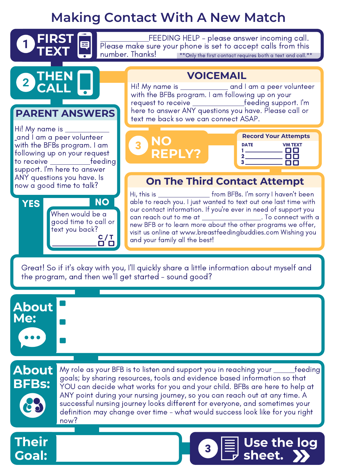## **Making Contact With A New Match**

| <b>O</b> FIRST<br>$\mathbf{V}_{\mathsf{TEXT}}$<br>$\_$ FEEDING HELP – please answer incoming call. $\,$<br>目<br>Please make sure your phone is set to accept calls from this<br>number. Thanks!<br>**Only the first contact requires both a text and call.** |                                                                                                                                                                                                                                                                                                                                                                                                                                               |  |
|--------------------------------------------------------------------------------------------------------------------------------------------------------------------------------------------------------------------------------------------------------------|-----------------------------------------------------------------------------------------------------------------------------------------------------------------------------------------------------------------------------------------------------------------------------------------------------------------------------------------------------------------------------------------------------------------------------------------------|--|
| 2 THEN<br><b>PARENT ANSWERS</b><br>Hi! My name is $\_\_$<br>and I am a peer volunteer<br>with the BFBs program. I am<br>following up on your request<br>to receive ______________feeding<br>support. I'm here to answer<br>ANY questions you have. Is        | <b>VOICEMAIL</b><br>Hi! My name is _______________ and I am a peer volunteer<br>with the BFBs program. I am following up on your<br>request to receive ______________feeding support. I'm<br>here to answer ANY questions you have. Please call or<br>text me back so we can connect ASAP.                                                                                                                                                    |  |
|                                                                                                                                                                                                                                                              | <b>Record Your Attempts</b><br><b>DATE</b><br><b>VM TEXT</b><br><b>REPLY?</b><br><b>On The Third Contact Attempt</b>                                                                                                                                                                                                                                                                                                                          |  |
| now a good time to talk?<br><b>NO</b><br><b>YES</b><br>When would be a<br>good time to call or<br>text you back?<br>C / T                                                                                                                                    | Hi, this is ______________________ from BFBs. I'm sorry I haven't been<br>able to reach you. I just wanted to text out one last time with<br>our contact information. If you're ever in need of support you<br>can reach out to me at _____________________. To connect with a<br>new BFB or to learn more about the other programs we offer,<br>visit us online at www.breastfeedingbuddies.com Wishing you<br>and your family all the best! |  |

Great! So if it's okay with you, I'll quickly share a little information about myself and the program, and then we'll get started - sound good?

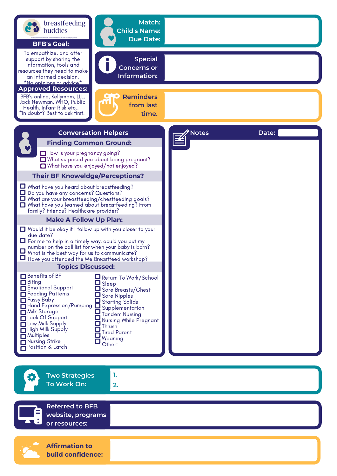